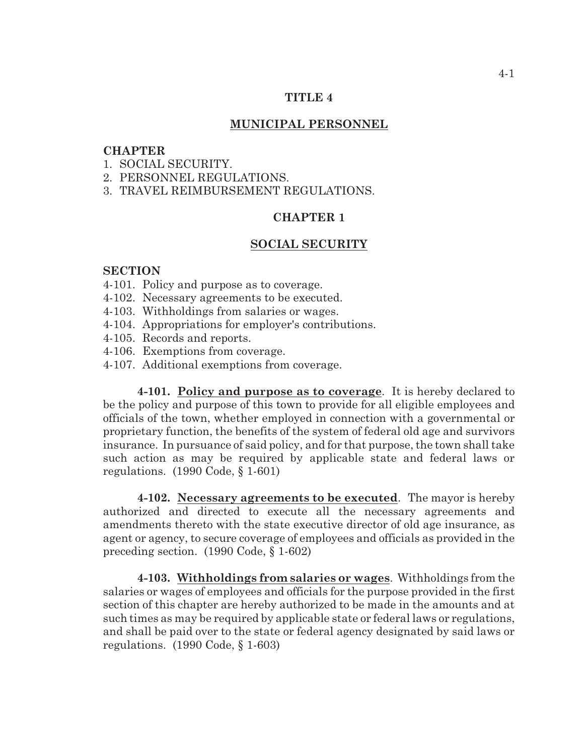### **TITLE 4**

### **MUNICIPAL PERSONNEL**

# **CHAPTER**

1. SOCIAL SECURITY.

- 2. PERSONNEL REGULATIONS.
- 3. TRAVEL REIMBURSEMENT REGULATIONS.

# **CHAPTER 1**

#### **SOCIAL SECURITY**

### **SECTION**

- 4-101. Policy and purpose as to coverage.
- 4-102. Necessary agreements to be executed.
- 4-103. Withholdings from salaries or wages.
- 4-104. Appropriations for employer's contributions.
- 4-105. Records and reports.
- 4-106. Exemptions from coverage.
- 4-107. Additional exemptions from coverage.

**4-101. Policy and purpose as to coverage**. It is hereby declared to be the policy and purpose of this town to provide for all eligible employees and officials of the town, whether employed in connection with a governmental or proprietary function, the benefits of the system of federal old age and survivors insurance. In pursuance of said policy, and for that purpose, the town shall take such action as may be required by applicable state and federal laws or regulations. (1990 Code, § 1-601)

**4-102. Necessary agreements to be executed**. The mayor is hereby authorized and directed to execute all the necessary agreements and amendments thereto with the state executive director of old age insurance, as agent or agency, to secure coverage of employees and officials as provided in the preceding section. (1990 Code, § 1-602)

**4-103. Withholdings from salaries or wages**. Withholdings from the salaries or wages of employees and officials for the purpose provided in the first section of this chapter are hereby authorized to be made in the amounts and at such times as may be required by applicable state or federal laws or regulations, and shall be paid over to the state or federal agency designated by said laws or regulations. (1990 Code, § 1-603)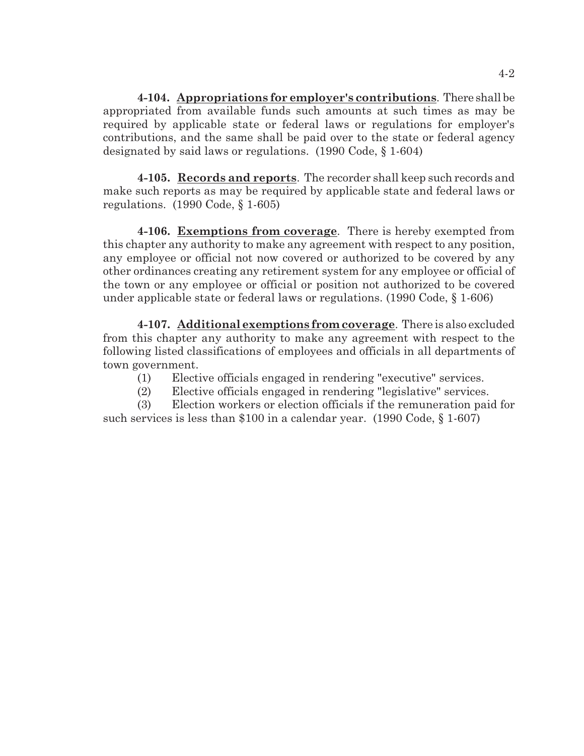**4-104. Appropriations for employer's contributions**. There shall be appropriated from available funds such amounts at such times as may be required by applicable state or federal laws or regulations for employer's contributions, and the same shall be paid over to the state or federal agency designated by said laws or regulations. (1990 Code, § 1-604)

**4-105. Records and reports**. The recorder shall keep such records and make such reports as may be required by applicable state and federal laws or regulations. (1990 Code, § 1-605)

**4-106. Exemptions from coverage**. There is hereby exempted from this chapter any authority to make any agreement with respect to any position, any employee or official not now covered or authorized to be covered by any other ordinances creating any retirement system for any employee or official of the town or any employee or official or position not authorized to be covered under applicable state or federal laws or regulations. (1990 Code, § 1-606)

**4-107. Additional exemptions from coverage**. There is also excluded from this chapter any authority to make any agreement with respect to the following listed classifications of employees and officials in all departments of town government.

- (1) Elective officials engaged in rendering "executive" services.
- (2) Elective officials engaged in rendering "legislative" services.

(3) Election workers or election officials if the remuneration paid for such services is less than \$100 in a calendar year. (1990 Code, § 1-607)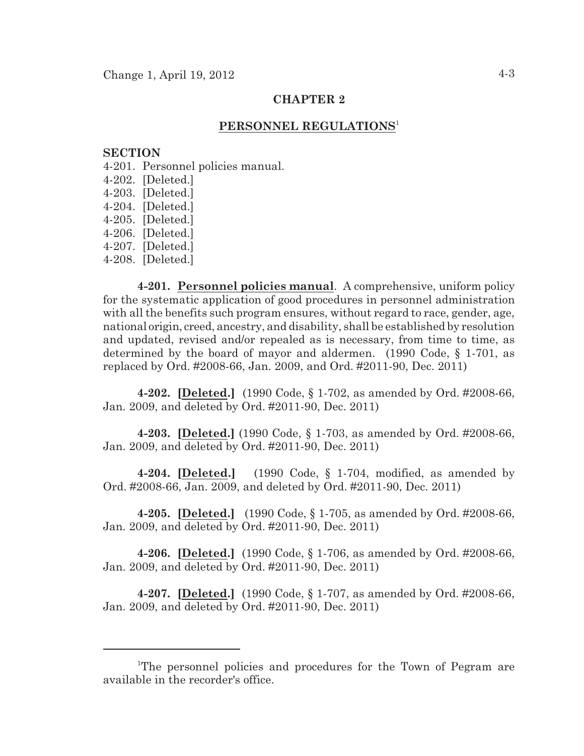# **CHAPTER 2**

# **PERSONNEL REGULATIONS** 1

#### **SECTION**

4-201. Personnel policies manual.

- 4-202. [Deleted.]
- 4-203. [Deleted.]
- 4-204. [Deleted.]
- 4-205. [Deleted.]
- 4-206. [Deleted.]
- 4-207. [Deleted.]
- 4-208. [Deleted.]

**4-201. Personnel policies manual**. A comprehensive, uniform policy for the systematic application of good procedures in personnel administration with all the benefits such program ensures, without regard to race, gender, age, national origin, creed, ancestry, and disability, shall be established by resolution and updated, revised and/or repealed as is necessary, from time to time, as determined by the board of mayor and aldermen. (1990 Code, § 1-701, as replaced by Ord. #2008-66, Jan. 2009, and Ord. #2011-90, Dec. 2011)

**4-202. [Deleted.]** (1990 Code, § 1-702, as amended by Ord. #2008-66, Jan. 2009, and deleted by Ord. #2011-90, Dec. 2011)

**4-203. [Deleted.]** (1990 Code, § 1-703, as amended by Ord. #2008-66, Jan. 2009, and deleted by Ord. #2011-90, Dec. 2011)

**4-204. [Deleted.]** (1990 Code, § 1-704, modified, as amended by Ord. #2008-66, Jan. 2009, and deleted by Ord. #2011-90, Dec. 2011)

**4-205. [Deleted.]** (1990 Code, § 1-705, as amended by Ord. #2008-66, Jan. 2009, and deleted by Ord. #2011-90, Dec. 2011)

**4-206. [Deleted.]** (1990 Code, § 1-706, as amended by Ord. #2008-66, Jan. 2009, and deleted by Ord. #2011-90, Dec. 2011)

**4-207. [Deleted.]** (1990 Code, § 1-707, as amended by Ord. #2008-66, Jan. 2009, and deleted by Ord. #2011-90, Dec. 2011)

<sup>&</sup>lt;sup>1</sup>The personnel policies and procedures for the Town of Pegram are available in the recorder's office.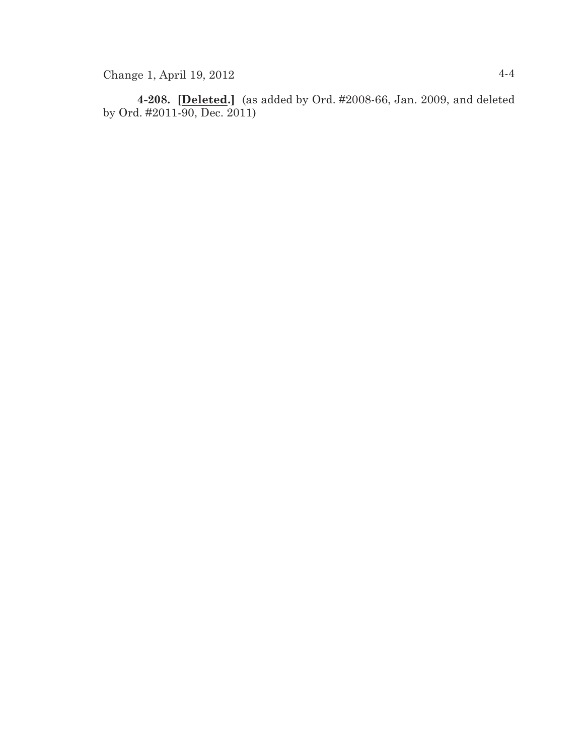**4-208. [Deleted.]** (as added by Ord. #2008-66, Jan. 2009, and deleted by Ord. #2011-90, Dec. 2011)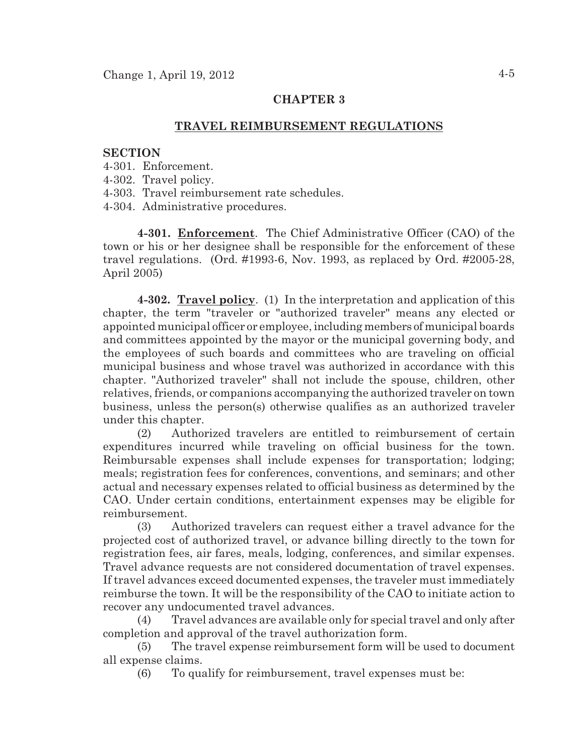# **CHAPTER 3**

# **TRAVEL REIMBURSEMENT REGULATIONS**

#### **SECTION**

- 4-301. Enforcement.
- 4-302. Travel policy.
- 4-303. Travel reimbursement rate schedules.

4-304. Administrative procedures.

**4-301. Enforcement**. The Chief Administrative Officer (CAO) of the town or his or her designee shall be responsible for the enforcement of these travel regulations. (Ord. #1993-6, Nov. 1993, as replaced by Ord. #2005-28, April 2005)

**4-302. Travel policy**. (1) In the interpretation and application of this chapter, the term "traveler or "authorized traveler" means any elected or appointed municipal officer or employee, including members of municipal boards and committees appointed by the mayor or the municipal governing body, and the employees of such boards and committees who are traveling on official municipal business and whose travel was authorized in accordance with this chapter. "Authorized traveler" shall not include the spouse, children, other relatives, friends, or companions accompanying the authorized traveler on town business, unless the person(s) otherwise qualifies as an authorized traveler under this chapter.

(2) Authorized travelers are entitled to reimbursement of certain expenditures incurred while traveling on official business for the town. Reimbursable expenses shall include expenses for transportation; lodging; meals; registration fees for conferences, conventions, and seminars; and other actual and necessary expenses related to official business as determined by the CAO. Under certain conditions, entertainment expenses may be eligible for reimbursement.

(3) Authorized travelers can request either a travel advance for the projected cost of authorized travel, or advance billing directly to the town for registration fees, air fares, meals, lodging, conferences, and similar expenses. Travel advance requests are not considered documentation of travel expenses. If travel advances exceed documented expenses, the traveler must immediately reimburse the town. It will be the responsibility of the CAO to initiate action to recover any undocumented travel advances.

(4) Travel advances are available only for special travel and only after completion and approval of the travel authorization form.

(5) The travel expense reimbursement form will be used to document all expense claims.

(6) To qualify for reimbursement, travel expenses must be: